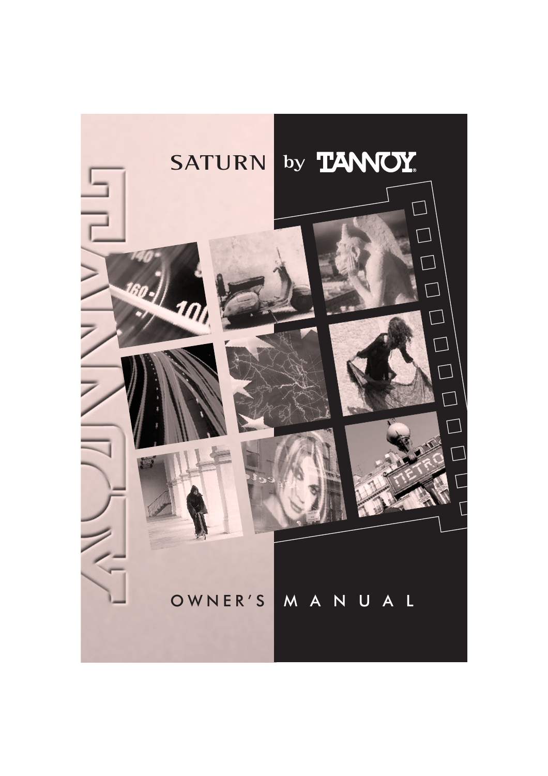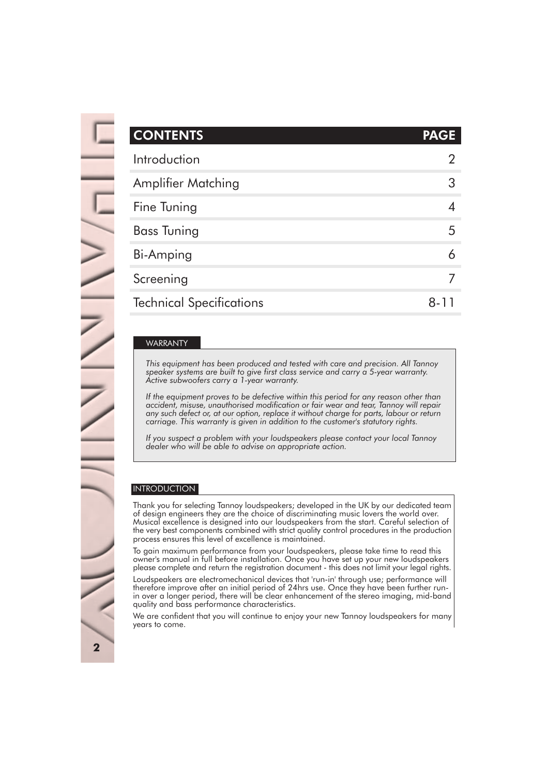| <b>CONTENTS</b>                 | <b>PAGE</b> |
|---------------------------------|-------------|
| Introduction                    |             |
| <b>Amplifier Matching</b>       | 3           |
| Fine Tuning                     |             |
| <b>Bass Tuning</b>              | 5           |
| Bi-Amping                       |             |
| Screening                       |             |
| <b>Technical Specifications</b> | 8-          |

#### This equipment has been produced and tested with care and precision. All Tannoy speaker systems are built to give first class service and carry a 5-year warranty. Active subwork warranty. Active subwork WARRANTY

carry a 1-year warranty.  $|$  speaker systems are built to give first class service and carry a 5-year warranty. misuse, unauthorised modification or fair wear and tear, Tannoy will repair any such defect *Active subwoofers carry a 1-year warranty.* or, at our option, replace it without charge for parts, labour or return carriage. This warranty *This equipment has been produced and tested with care and precision. All Tannoy*

If the equipment proves to be defective within this period for any reason other than any such defect or, at our option, replace it without charge for parts, labour or return carriage. This warranty is given in addition to the customer's statutory rights. *accident, misuse, unauthorised modification or fair wear and tear, Tannoy will repair*

*If you suspect a problem with your loudspeakers please contact your local Tannoy dealer who will be able to advise on appropriate action.*

#### INTRODUCTION

Thank you for selecting Tannoy loudspeakers; developed in the UK by our dedicated team of design engineers they are the choice of discriminating music lovers the world over. Musical excellence is designed into our loudspeakers from the start. Careful selection of the very best components combined with strict quality control procedures in the production process ensures this level of excellence is maintained.

To gain maximum performance from your loudspeakers, please take time to read this owner's manual in full before installation. Once you have set up your new loudspeakers please complete and return the registration document - this does not limit your legal rights.

Loudspeakers are electromechanical devices that 'run-in' through use; performance will therefore improve after an initial period of 24hrs use. Once they have been further runin over a longer period, there will be clear enhancement of the stereo imaging, mid-band quality and bass performance characteristics.

We are confident that you will continue to enjoy your new Tannoy loudspeakers for many years to come.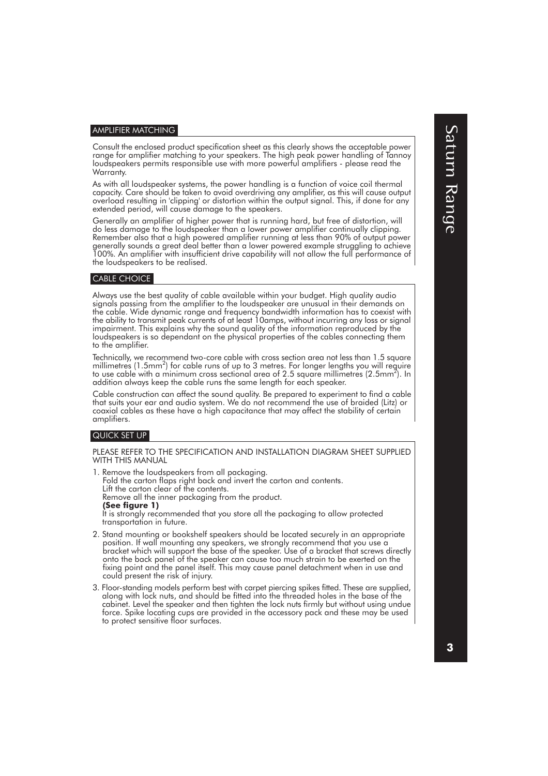#### AMPLIFIER MATCHING

Consult the enclosed product specification sheet as this clearly shows the acceptable power range for amplifier matching to your speakers. The high peak power handling of Tannoy loudspeakers permits responsible use with more powerful amplifiers - please read the Warranty.

As with all loudspeaker systems, the power handling is a function of voice coil thermal capacity. Care should be taken to avoid overdriving any amplifier, as this will cause output overload resulting in 'clipping' or distortion within the output signal. This, if done for any extended period, will cause damage to the speakers.

Generally an amplifier of higher power that is running hard, but free of distortion, will do less damage to the loudspeaker than a lower power amplifier continually clipping. Remember also that a high powered amplifier running at less than 90% of output power generally sounds a great deal better than a lower powered example struggling to achieve 100%. An amplifier with insufficient drive capability will not allow the full performance of the loudspeakers to be realised.

#### CABLE CHOICE

Always use the best quality of cable available within your budget. High quality audio signals passing from the amplifier to the loudspeaker are unusual in their demands on the cable. Wide dynamic range and frequency bandwidth information has to coexist with the ability to transmit peak currents of at least 10amps, without incurring any loss or signal impairment. This explains why the sound quality of the information reproduced by the loudspeakers is so dependant on the physical properties of the cables connecting them to the amplifier.

Technically, we recommend two-core cable with cross section area not less than 1.5 square millimetres (1.5mm<sup>2</sup>) for cable runs of up to 3 metres. For longer lengths you will require to use cable with a minimum cross sectional area of 2.5 square millimetres (2.5mm $^2$ ). In addition always keep the cable runs the same length for each speaker.

Cable construction can affect the sound quality. Be prepared to experiment to find a cable that suits your ear and audio system. We do not recommend the use of braided (Litz) or coaxial cables as these have a high capacitance that may affect the stability of certain amplifiers.

### QUICK SET UP

PLEASE REFER TO THE SPECIFICATION AND INSTALLATION DIAGRAM SHEET SUPPLIED WITH THIS MANUAL

1. Remove the loudspeakers from all packaging. Fold the carton flaps right back and invert the carton and contents. Lift the carton clear of the contents. Remove all the inner packaging from the product. **(See figure 1)** It is strongly recommended that you store all the packaging to allow protected transportation in future.

- 2. Stand mounting or bookshelf speakers should be located securely in an appropriate position. If wall mounting any speakers, we strongly recommend that you use a bracket which will support the base of the speaker. Use of a bracket that screws directly onto the back panel of the speaker can cause too much strain to be exerted on the fixing point and the panel itself. This may cause panel detachment when in use and could present the risk of injury.
- 3. Floor-standing models perform best with carpet piercing spikes fitted. These are supplied, along with lock nuts, and should be fitted into the threaded holes in the base of the cabinet. Level the speaker and then tighten the lock nuts firmly but without using undue force. Spike locating cups are provided in the accessory pack and these may be used to protect sensitive floor surfaces.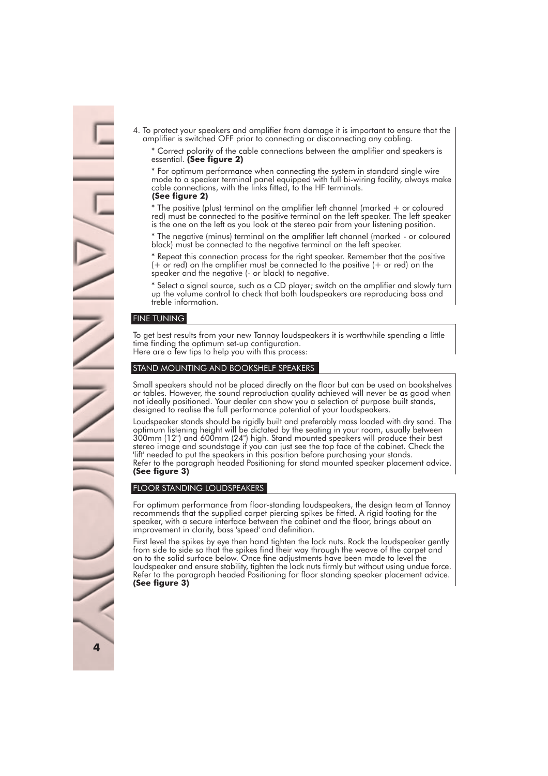4. To protect your speakers and amplifier from damage it is important to ensure that the amplifier is switched OFF prior to connecting or disconnecting any cabling.

\* Correct polarity of the cable connections between the amplifier and speakers is essential. **(See figure 2)**

\* For optimum performance when connecting the system in standard single wire mode to a speaker terminal panel equipped with full bi-wiring facility, always make cable connections, with the links fitted, to the HF terminals.

#### **(See figure 2)**

\* The positive (plus) terminal on the amplifier left channel (marked + or coloured red) must be connected to the positive terminal on the left speaker. The left speaker is the one on the left as you look at the stereo pair from your listening position.

\* The negative (minus) terminal on the amplifier left channel (marked - or coloured black) must be connected to the negative terminal on the left speaker.

\* Repeat this connection process for the right speaker. Remember that the positive (+ or red) on the amplifier must be connected to the positive (+ or red) on the speaker and the negative (- or black) to negative.

\* Select a signal source, such as a CD player; switch on the amplifier and slowly turn up the volume control to check that both loudspeakers are reproducing bass and treble information.

#### FINE TUNING

To get best results from your new Tannoy loudspeakers it is worthwhile spending a little time finding the optimum set-up configuration.

Here are a few tips to help you with this process:

#### STAND MOUNTING AND BOOKSHELF SPEAKERS

Small speakers should not be placed directly on the floor but can be used on bookshelves or tables. However, the sound reproduction quality achieved will never be as good when not ideally positioned. Your dealer can show you a selection of purpose built stands, designed to realise the full performance potential of your loudspeakers.

Loudspeaker stands should be rigidly built and preferably mass loaded with dry sand. The optimum listening height will be dictated by the seating in your room, usually between 300mm (12") and 600mm (24") high. Stand mounted speakers will produce their best stereo image and soundstage if you can just see the top face of the cabinet. Check the 'lift' needed to put the speakers in this position before purchasing your stands. Refer to the paragraph headed Positioning for stand mounted speaker placement advice. **(See figure 3)**

#### FLOOR STANDING LOUDSPEAKERS

For optimum performance from floor-standing loudspeakers, the design team at Tannoy recommends that the supplied carpet piercing spikes be fitted. A rigid footing for the speaker, with a secure interface between the cabinet and the floor, brings about an improvement in clarity, bass 'speed' and definition.

First level the spikes by eye then hand tighten the lock nuts. Rock the loudspeaker gently from side to side so that the spikes find their way through the weave of the carpet and on to the solid surface below. Once fine adjustments have been made to level the loudspeaker and ensure stability, tighten the lock nuts firmly but without using undue force. Refer to the paragraph headed Positioning for floor standing speaker placement advice. **(See figure 3)**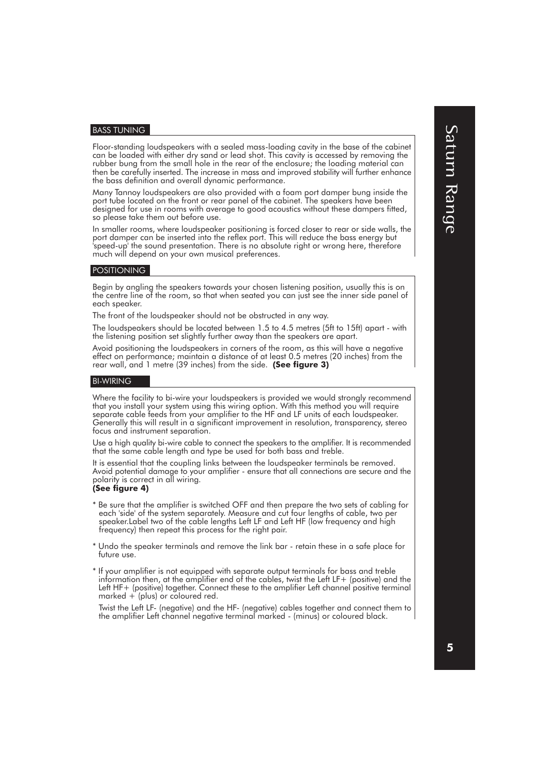#### BASS TUNING

Floor-standing loudspeakers with a sealed mass-loading cavity in the base of the cabinet can be loaded with either dry sand or lead shot. This cavity is accessed by removing the rubber bung from the small hole in the rear of the enclosure; the loading material can then be carefully inserted. The increase in mass and improved stability will further enhance the bass definition and overall dynamic performance.

Many Tannoy loudspeakers are also provided with a foam port damper bung inside the port tube located on the front or rear panel of the cabinet. The speakers have been designed for use in rooms with average to good acoustics without these dampers fitted, so please take them out before use.

In smaller rooms, where loudspeaker positioning is forced closer to rear or side walls, the port damper can be inserted into the reflex port. This will reduce the bass energy but 'speed-up' the sound presentation. There is no absolute right or wrong here, therefore much will depend on your own musical preferences.

#### POSITIONING

Begin by angling the speakers towards your chosen listening position, usually this is on the centre line of the room, so that when seated you can just see the inner side panel of each speaker.

The front of the loudspeaker should not be obstructed in any way.

The loudspeakers should be located between 1.5 to 4.5 metres (5ft to 15ft) apart - with the listening position set slightly further away than the speakers are apart.

Avoid positioning the loudspeakers in corners of the room, as this will have a negative effect on performance; maintain a distance of at least 0.5 metres (20 inches) from the rear wall, and 1 metre (39 inches) from the side. **(See figure 3)**

#### BI-WIRING

Where the facility to bi-wire your loudspeakers is provided we would strongly recommend that you install your system using this wiring option. With this method you will require separate cable feeds from your amplifier to the HF and LF units of each loudspeaker. Generally this will result in a significant improvement in resolution, transparency, stereo focus and instrument separation.

Use a high quality bi-wire cable to connect the speakers to the amplifier. It is recommended that the same cable length and type be used for both bass and treble.

It is essential that the coupling links between the loudspeaker terminals be removed. Avoid potential damage to your amplifier - ensure that all connections are secure and the polarity is correct in all wiring.

#### **(See figure 4)**

- \* Be sure that the amplifier is switched OFF and then prepare the two sets of cabling for each 'side' of the system separately. Measure and cut four lengths of cable, two per speaker.Label two of the cable lengths Left LF and Left HF (low frequency and high frequency) then repeat this process for the right pair.
- \* Undo the speaker terminals and remove the link bar retain these in a safe place for future use.
- \* If your amplifier is not equipped with separate output terminals for bass and treble information then, at the amplifier end of the cables, twist the Left LF+ (positive) and the Left HF+ (positive) together. Connect these to the amplifier Left channel positive terminal marked  $+$  (plus) or coloured red.

Twist the Left LF- (negative) and the HF- (negative) cables together and connect them to the amplifier Left channel negative terminal marked - (minus) or coloured black.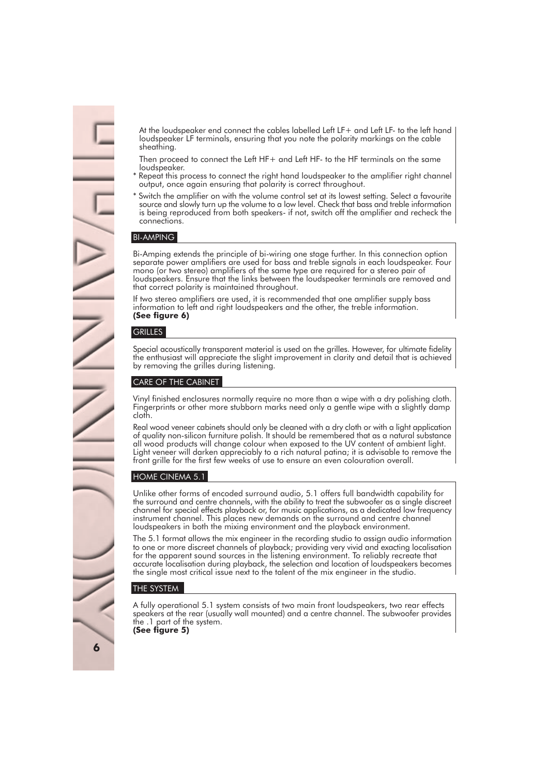At the loudspeaker end connect the cables labelled Left LF+ and Left LF- to the left hand loudspeaker LF terminals, ensuring that you note the polarity markings on the cable sheathing.

Then proceed to connect the Left HF+ and Left HF- to the HF terminals on the same loudspeaker.

- Repeat this process to connect the right hand loudspeaker to the amplifier right channel output, once again ensuring that polarity is correct throughout.
- \* Switch the amplifier on with the volume control set at its lowest setting. Select a favourite source and slowly turn up the volume to a low level. Check that bass and treble information is being reproduced from both speakers- if not, switch off the amplifier and recheck the connections.

#### BI-AMPING

Bi-Amping extends the principle of bi-wiring one stage further. In this connection option separate power amplifiers are used for bass and treble signals in each loudspeaker. Four mono (or two stereo) amplifiers of the same type are required for a stereo pair of loudspeakers. Ensure that the links between the loudspeaker terminals are removed and that correct polarity is maintained throughout.

If two stereo amplifiers are used, it is recommended that one amplifier supply bass information to left and right loudspeakers and the other, the treble information. **(See figure 6)**

#### **GRILLES**

Special acoustically transparent material is used on the grilles. However, for ultimate fidelity the enthusiast will appreciate the slight improvement in clarity and detail that is achieved by removing the grilles during listening.

#### CARE OF THE CABINET

Vinyl finished enclosures normally require no more than a wipe with a dry polishing cloth. Fingerprints or other more stubborn marks need only a gentle wipe with a slightly damp cloth.

Real wood veneer cabinets should only be cleaned with a dry cloth or with a light application of quality non-silicon furniture polish. It should be remembered that as a natural substance all wood products will change colour when exposed to the UV content of ambient light. Light veneer will darken appreciably to a rich natural patina; it is advisable to remove the front grille for the first few weeks of use to ensure an even colouration overall.

#### HOME CINEMA 5.1

Unlike other forms of encoded surround audio, 5.1 offers full bandwidth capability for the surround and centre channels, with the ability to treat the subwoofer as a single discreet channel for special effects playback or, for music applications, as a dedicated low frequency instrument channel. This places new demands on the surround and centre channel loudspeakers in both the mixing environment and the playback environment.

The 5.1 format allows the mix engineer in the recording studio to assign audio information to one or more discreet channels of playback; providing very vivid and exacting localisation for the apparent sound sources in the listening environment. To reliably recreate that accurate localisation during playback, the selection and location of loudspeakers becomes the single most critical issue next to the talent of the mix engineer in the studio.

#### THE SYSTEM

A fully operational 5.1 system consists of two main front loudspeakers, two rear effects speakers at the rear (usually wall mounted) and a centre channel. The subwoofer provides the .1 part of the system. **(See figure 5)**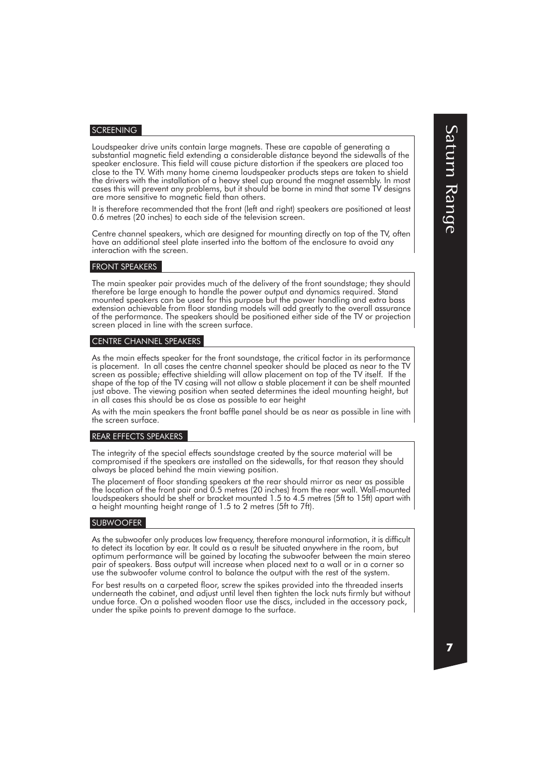#### **SCREENING**

Loudspeaker drive units contain large magnets. These are capable of generating a substantial magnetic field extending a considerable distance beyond the sidewalls of the speaker enclosure. This field will cause picture distortion if the speakers are placed too close to the TV. With many home cinema loudspeaker products steps are taken to shield the drivers with the installation of a heavy steel cup around the magnet assembly. In most cases this will prevent any problems, but it should be borne in mind that some TV designs are more sensitive to magnetic field than others.

It is therefore recommended that the front (left and right) speakers are positioned at least 0.6 metres (20 inches) to each side of the television screen.

Centre channel speakers, which are designed for mounting directly on top of the TV, often have an additional steel plate inserted into the bottom of the enclosure to avoid any interaction with the screen.

#### FRONT SPEAKERS

The main speaker pair provides much of the delivery of the front soundstage; they should therefore be large enough to handle the power output and dynamics required. Stand mounted speakers can be used for this purpose but the power handling and extra bass extension achievable from floor standing models will add greatly to the overall assurance of the performance. The speakers should be positioned either side of the TV or projection screen placed in line with the screen surface.

#### CENTRE CHANNEL SPEAKERS

As the main effects speaker for the front soundstage, the critical factor in its performance is placement. In all cases the centre channel speaker should be placed as near to the TV screen as possible; effective shielding will allow placement on top of the TV itself. If the shape of the top of the TV casing will not allow a stable placement it can be shelf mounted just above. The viewing position when seated determines the ideal mounting height, but in all cases this should be as close as possible to ear height

As with the main speakers the front baffle panel should be as near as possible in line with the screen surface.

#### REAR EFFECTS SPEAKERS

The integrity of the special effects soundstage created by the source material will be compromised if the speakers are installed on the sidewalls, for that reason they should always be placed behind the main viewing position.

The placement of floor standing speakers at the rear should mirror as near as possible the location of the front pair and 0.5 metres (20 inches) from the rear wall. Wall-mounted loudspeakers should be shelf or bracket mounted 1.5 to 4.5 metres (5ft to 15ft) apart with a height mounting height range of 1.5 to 2 metres (5ft to 7ft).

#### SUBWOOFER

As the subwoofer only produces low frequency, therefore monaural information, it is difficult to detect its location by ear. It could as a result be situated anywhere in the room, but optimum performance will be gained by locating the subwoofer between the main stereo pair of speakers. Bass output will increase when placed next to a wall or in a corner so use the subwoofer volume control to balance the output with the rest of the system.

For best results on a carpeted floor, screw the spikes provided into the threaded inserts underneath the cabinet, and adjust until level then tighten the lock nuts firmly but without undue force. On a polished wooden floor use the discs, included in the accessory pack, under the spike points to prevent damage to the surface.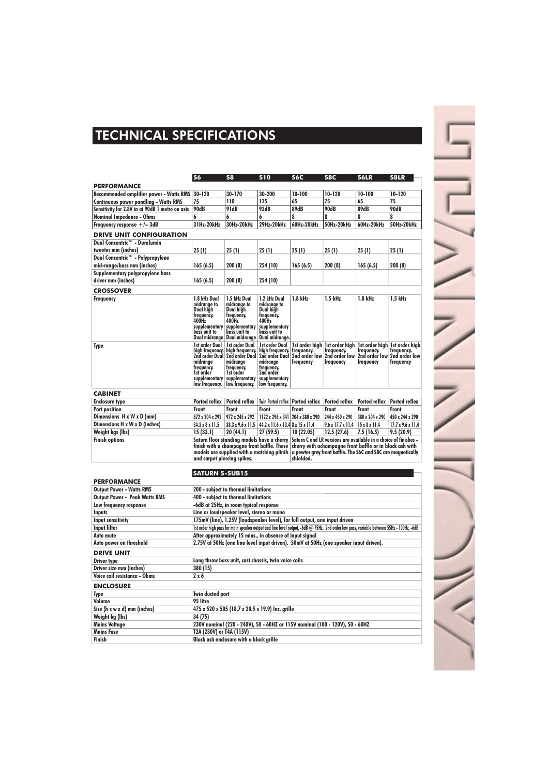## TECHNICAL SPECIFICATIONS

|                                                                 | <b>S6</b>                                                                                                                                                              | S <sub>8</sub>                                                                                                                                 | <b>S10</b>                                                                                                                    | <b>S6C</b>                                                                                                                                                                                                | S8C                                                        | S6LR                                                                      | <b>S8LR</b>                              |
|-----------------------------------------------------------------|------------------------------------------------------------------------------------------------------------------------------------------------------------------------|------------------------------------------------------------------------------------------------------------------------------------------------|-------------------------------------------------------------------------------------------------------------------------------|-----------------------------------------------------------------------------------------------------------------------------------------------------------------------------------------------------------|------------------------------------------------------------|---------------------------------------------------------------------------|------------------------------------------|
| <b>PERFORMANCE</b>                                              |                                                                                                                                                                        |                                                                                                                                                |                                                                                                                               |                                                                                                                                                                                                           |                                                            |                                                                           |                                          |
| <b>Recommended amplifier power - Watts RMS</b>                  | 30-120                                                                                                                                                                 | 30-170                                                                                                                                         | 30-200                                                                                                                        | 10-100                                                                                                                                                                                                    | 10-120                                                     | 10-100                                                                    | 10-120                                   |
| <b>Continuous power pandling - Watts RMS</b>                    | 75                                                                                                                                                                     | 110                                                                                                                                            | 125                                                                                                                           | 65                                                                                                                                                                                                        | 75                                                         | 65                                                                        | 75                                       |
| Sensitivity for 2.8V in at 90dB 1 metre on axis                 | 90dB                                                                                                                                                                   | 91dB                                                                                                                                           | 93dB                                                                                                                          | 89dB                                                                                                                                                                                                      | 90dB                                                       | 89dB                                                                      | 90dB                                     |
| <b>Nominal Impedance - Ohms</b>                                 | 6                                                                                                                                                                      | 6                                                                                                                                              | 6                                                                                                                             | 8                                                                                                                                                                                                         | 8                                                          | 8                                                                         | 8                                        |
| Frequency response $+/-$ 3dB                                    | 31Hz-20kHz                                                                                                                                                             | 30Hz-20kHz                                                                                                                                     | 29Hz-20kHz                                                                                                                    | 60Hz-20kHz                                                                                                                                                                                                | 50Hz-20kHz                                                 | 60Hz-20kHz                                                                | 50Hz-20kHz                               |
|                                                                 |                                                                                                                                                                        |                                                                                                                                                |                                                                                                                               |                                                                                                                                                                                                           |                                                            |                                                                           |                                          |
| <b>DRIVE UNIT CONFIGURATION</b><br>Dual Concentric™ - Duralumin |                                                                                                                                                                        |                                                                                                                                                |                                                                                                                               |                                                                                                                                                                                                           |                                                            |                                                                           |                                          |
|                                                                 |                                                                                                                                                                        |                                                                                                                                                |                                                                                                                               |                                                                                                                                                                                                           |                                                            |                                                                           |                                          |
| tweeter mm (inches)                                             | 25(1)                                                                                                                                                                  | 25(1)                                                                                                                                          | 25 (1)                                                                                                                        | 25(1)                                                                                                                                                                                                     | 25(1)                                                      | 25(1)                                                                     | 25(1)                                    |
| Dual Concentric™ - Polypropylene                                |                                                                                                                                                                        |                                                                                                                                                |                                                                                                                               |                                                                                                                                                                                                           |                                                            |                                                                           |                                          |
| mid-range/bass mm (inches)                                      | 165(6.5)                                                                                                                                                               | 200(8)                                                                                                                                         | 254 (10)                                                                                                                      | 165(6.5)                                                                                                                                                                                                  | 200 (8)                                                    | 165(6.5)                                                                  | 200 (8)                                  |
| Supplementary polypropylene bass                                |                                                                                                                                                                        |                                                                                                                                                |                                                                                                                               |                                                                                                                                                                                                           |                                                            |                                                                           |                                          |
| driver mm (inches)                                              | 165(6.5)                                                                                                                                                               | 200(8)                                                                                                                                         | 254 (10)                                                                                                                      |                                                                                                                                                                                                           |                                                            |                                                                           |                                          |
| <b>CROSSOVER</b>                                                |                                                                                                                                                                        |                                                                                                                                                |                                                                                                                               |                                                                                                                                                                                                           |                                                            |                                                                           |                                          |
| <b>Frequency</b>                                                | 1.8 kHz Dual<br>midrange to<br>Dual high<br>frequency.<br>400Hz<br>supplementary<br>bass unit to<br>Dual midrange                                                      | 1.5 kHz Dual<br>midrange to<br>Dual high<br>freauency.<br>400Hz<br>supplementary<br>bass unit to<br>Dual midrange                              | 1.2 kHz Dual<br>midrange to<br>Dual high<br>freauency.<br>400Hz<br>supplementary<br>bass unit to<br>Dual midrange.            | 1.8 kHz                                                                                                                                                                                                   | 1.5 kHz                                                    | 1.8 kHz                                                                   | 1.5 kHz                                  |
| <b>Type</b>                                                     | 1st order Dual<br>high frequency.<br>midrange<br>frequency.<br>1st order<br>supplementary<br>low frequency.                                                            | 1st order Dual<br>high frequency.<br>2nd order Dual   2nd order Dual<br>midrange<br>frequency.<br>1st order<br>supplementary<br>low frequency. | 1st order Dual<br>high frequency.<br>2nd order Dual<br>midrange<br>frequency.<br>2nd order<br>supplementary<br>low frequency. | 1st order high<br>frequency.<br>2nd order low<br>frequency                                                                                                                                                | 1st order high<br>frequency.<br>2nd order low<br>frequency | 1st order high 1st order high<br>frequency.<br>2nd order low<br>frequency | frequency.<br>2nd order low<br>frequency |
| <b>CABINET</b>                                                  |                                                                                                                                                                        |                                                                                                                                                |                                                                                                                               |                                                                                                                                                                                                           |                                                            |                                                                           |                                          |
| <b>Enclosure type</b>                                           | Ported reflex                                                                                                                                                          | Ported reflex                                                                                                                                  | Twin Ported reflex   Ported reflex                                                                                            |                                                                                                                                                                                                           | <b>Ported reflex</b>                                       | Ported reflex                                                             | Ported reflex                            |
| Port position                                                   | Front                                                                                                                                                                  | Front                                                                                                                                          | Front                                                                                                                         | Front                                                                                                                                                                                                     | Front                                                      | Front                                                                     | Front                                    |
| Dimensions H x W x D (mm)                                       | 872 x 204 x 292                                                                                                                                                        | 972 x 245 x 292                                                                                                                                | 1122 x 296 x 341                                                                                                              | 204 x 380 x 290                                                                                                                                                                                           | 244 x 450 x 290                                            | 380 x 204 x 290                                                           | 450 x 244 x 290                          |
| Dimensions H x W x D (inches)                                   | 34.3 x 8 x 11.5                                                                                                                                                        | $38.3 \times 9.6 \times 11.5$                                                                                                                  | 44.2 x 11.6 x 13.4 8 x 15 x 11.4                                                                                              |                                                                                                                                                                                                           | $9.6 \times 17.7 \times 11.4$                              | $15 \times 8 \times 11.4$                                                 | $17.7 \times 9.6 \times 11.4$            |
| Weight kgs (lbs)                                                | 15(33.1)                                                                                                                                                               | 20 (44.1)                                                                                                                                      | 27 (59.5)                                                                                                                     | 10 (22.05)                                                                                                                                                                                                | 12.5(27.6)                                                 | 7.5(16.5)                                                                 | 9.5(20.9)                                |
| <b>Finish options</b>                                           | Saturn floor standing models have a cherry<br>finish with a champagne front baffle. These<br>models are supplied with a matching plinth<br>and carpet piercing spikes. |                                                                                                                                                |                                                                                                                               | Saturn C and LR versions are available in a choice of finishes -<br>cherry with achampagne front baffle or in black ash with<br>a pewter grey front baffle. The S6C and S8C are magnetically<br>shielded. |                                                            |                                                                           |                                          |
|                                                                 | <b>SATURN S-SUB15</b>                                                                                                                                                  |                                                                                                                                                |                                                                                                                               |                                                                                                                                                                                                           |                                                            |                                                                           |                                          |
| <b>PERFORMANCE</b>                                              |                                                                                                                                                                        |                                                                                                                                                |                                                                                                                               |                                                                                                                                                                                                           |                                                            |                                                                           |                                          |
| <b>Output Power - Watts RMS</b>                                 | 200 - subject to thermal limitations                                                                                                                                   |                                                                                                                                                |                                                                                                                               |                                                                                                                                                                                                           |                                                            |                                                                           |                                          |
| <b>Output Power - Peak Watts RMS</b>                            | 400 - subject to thermal limitations                                                                                                                                   |                                                                                                                                                |                                                                                                                               |                                                                                                                                                                                                           |                                                            |                                                                           |                                          |
| Low frequency response                                          | -6dB at 25Hz, in room typical response                                                                                                                                 |                                                                                                                                                |                                                                                                                               |                                                                                                                                                                                                           |                                                            |                                                                           |                                          |
| Inputs                                                          | Line or loudspeaker level, stereo or mono                                                                                                                              |                                                                                                                                                |                                                                                                                               |                                                                                                                                                                                                           |                                                            |                                                                           |                                          |
| Input sensitivity                                               | 175mV (line), 1.25V (loudspeaker level), for full output, one input driven                                                                                             |                                                                                                                                                |                                                                                                                               |                                                                                                                                                                                                           |                                                            |                                                                           |                                          |
| Input filter                                                    | 1st order high pass for main speaker output and line level output, -6dB @ 75Hz. 2nd order low pass, variable between 55Hz - 100Hz, -6dB                                |                                                                                                                                                |                                                                                                                               |                                                                                                                                                                                                           |                                                            |                                                                           |                                          |
| Auto mute                                                       | After approximately 15 mins., in absence of input sianal                                                                                                               |                                                                                                                                                |                                                                                                                               |                                                                                                                                                                                                           |                                                            |                                                                           |                                          |

**Auto power on threshold 2.75V at 50Hz (one line level input driven). 50mV at 50Hz (one speaker input driven).**

#### **DRIVE UNIT**

| <b>Driver type</b>           | Long throw bass unit, cast chassis, twin voice coils |
|------------------------------|------------------------------------------------------|
| Driver size mm (inches)      | 380 (15)                                             |
| Voice coil resistance - Ohms | 2 x 6                                                |

#### **ENCLOSURE**

| <b>Type</b>                  | Twin ducted port                                                             |
|------------------------------|------------------------------------------------------------------------------|
| Volume                       | 95 litre                                                                     |
| Size (h x w x d) mm (inches) | 475 x 520 x 505 (18.7 x 20.5 x 19.9) Inc. grille                             |
| Weight kg (lbs)              | 34 (75)                                                                      |
| <b>Mains Voltage</b>         | 230V nominal (220 - 240V), 50 - 60HZ or 115V nominal (100 - 120V), 50 - 60HZ |
| <b>Mains Fuse</b>            | T2A (230V) or T4A (115V)                                                     |
| Finish                       | Black ash enclosure with a black grille                                      |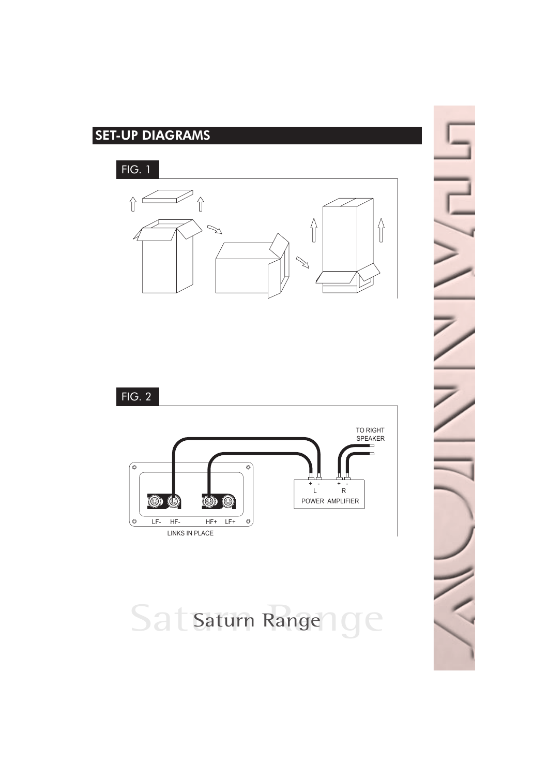## SET-UP DIAGRAMS

FIG. 1





# Satsaturn Range 19e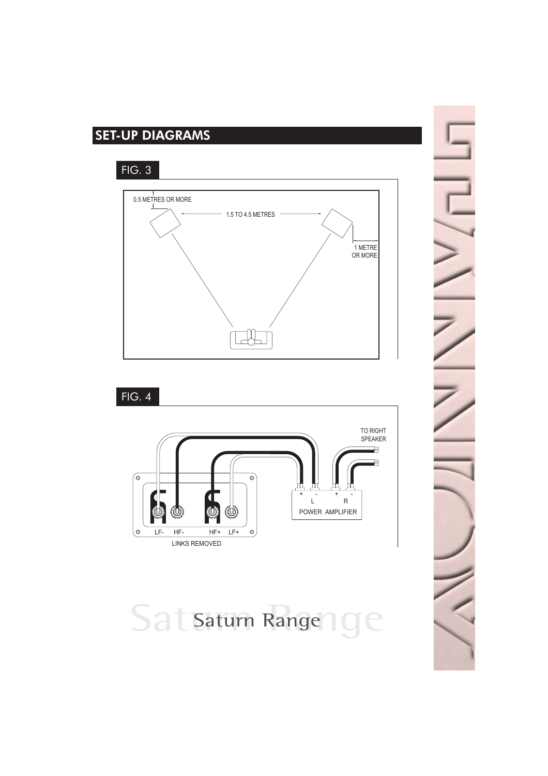## SET-UP DIAGRAMS

FIG. 3



FIG. 4



Satsaturn Range 19e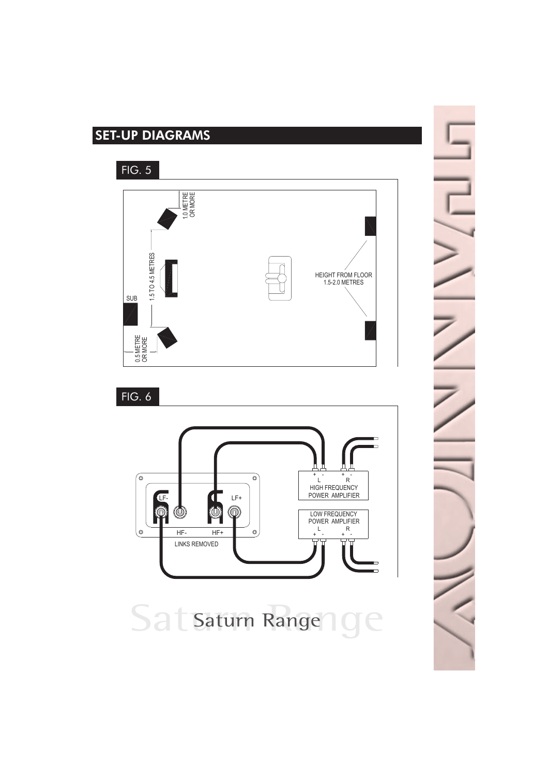## SET-UP DIAGRAMS

FIG. 5





Saturn Range CC